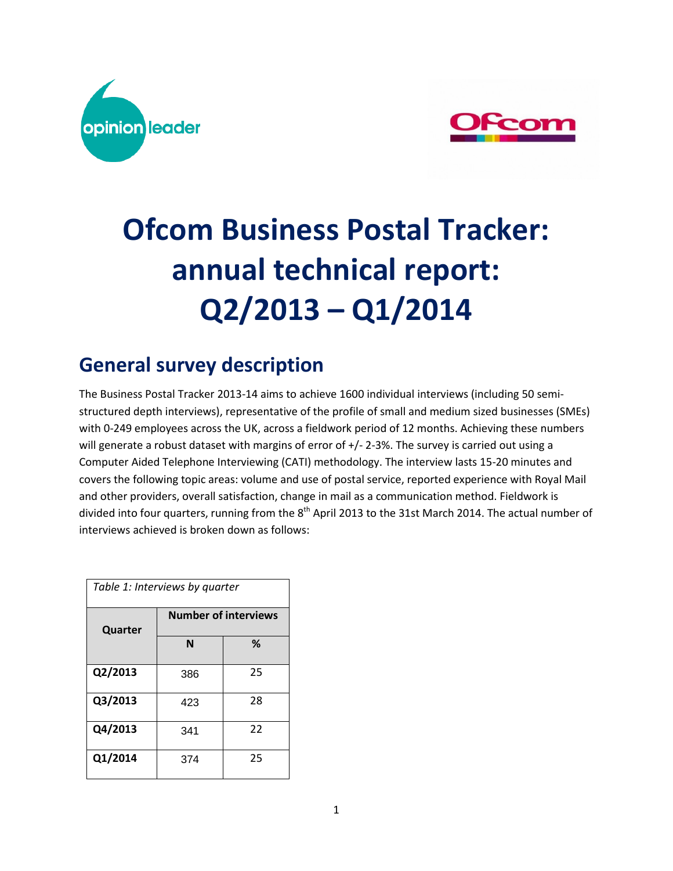



# **Ofcom Business Postal Tracker: annual technical report: Q2/2013 – Q1/2014**

# **General survey description**

The Business Postal Tracker 2013-14 aims to achieve 1600 individual interviews (including 50 semistructured depth interviews), representative of the profile of small and medium sized businesses (SMEs) with 0-249 employees across the UK, across a fieldwork period of 12 months. Achieving these numbers will generate a robust dataset with margins of error of  $+/- 2-3$ %. The survey is carried out using a Computer Aided Telephone Interviewing (CATI) methodology. The interview lasts 15-20 minutes and covers the following topic areas: volume and use of postal service, reported experience with Royal Mail and other providers, overall satisfaction, change in mail as a communication method. Fieldwork is divided into four quarters, running from the  $8<sup>th</sup>$  April 2013 to the 31st March 2014. The actual number of interviews achieved is broken down as follows:

| Table 1: Interviews by quarter |     |                             |  |  |  |  |  |
|--------------------------------|-----|-----------------------------|--|--|--|--|--|
| Quarter                        |     | <b>Number of interviews</b> |  |  |  |  |  |
|                                | N   | ℅                           |  |  |  |  |  |
| Q2/2013                        | 386 | 25                          |  |  |  |  |  |
| Q3/2013                        | 423 | 28                          |  |  |  |  |  |
| Q4/2013                        | 341 | 22                          |  |  |  |  |  |
| Q1/2014                        | 374 | 25                          |  |  |  |  |  |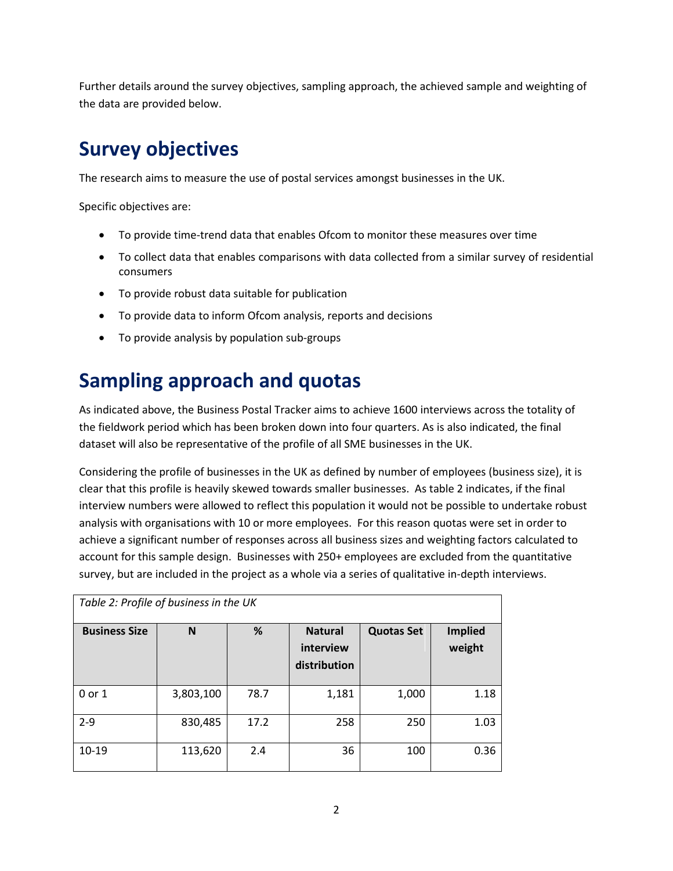Further details around the survey objectives, sampling approach, the achieved sample and weighting of the data are provided below.

## **Survey objectives**

The research aims to measure the use of postal services amongst businesses in the UK.

Specific objectives are:

- To provide time-trend data that enables Ofcom to monitor these measures over time
- To collect data that enables comparisons with data collected from a similar survey of residential consumers
- To provide robust data suitable for publication
- To provide data to inform Ofcom analysis, reports and decisions
- To provide analysis by population sub-groups

### **Sampling approach and quotas**

As indicated above, the Business Postal Tracker aims to achieve 1600 interviews across the totality of the fieldwork period which has been broken down into four quarters. As is also indicated, the final dataset will also be representative of the profile of all SME businesses in the UK.

Considering the profile of businesses in the UK as defined by number of employees (business size), it is clear that this profile is heavily skewed towards smaller businesses. As table 2 indicates, if the final interview numbers were allowed to reflect this population it would not be possible to undertake robust analysis with organisations with 10 or more employees. For this reason quotas were set in order to achieve a significant number of responses across all business sizes and weighting factors calculated to account for this sample design. Businesses with 250+ employees are excluded from the quantitative survey, but are included in the project as a whole via a series of qualitative in-depth interviews.

| Table 2: Profile of business in the UK |           |      |                                             |                   |                          |  |  |  |  |
|----------------------------------------|-----------|------|---------------------------------------------|-------------------|--------------------------|--|--|--|--|
| <b>Business Size</b>                   | N         | %    | <b>Natural</b><br>interview<br>distribution | <b>Quotas Set</b> | <b>Implied</b><br>weight |  |  |  |  |
| $0$ or $1$                             | 3,803,100 | 78.7 | 1,181                                       | 1,000             | 1.18                     |  |  |  |  |
| $2 - 9$                                | 830,485   | 17.2 | 258                                         | 250               | 1.03                     |  |  |  |  |
| 10-19                                  | 113,620   | 2.4  | 36                                          | 100               | 0.36                     |  |  |  |  |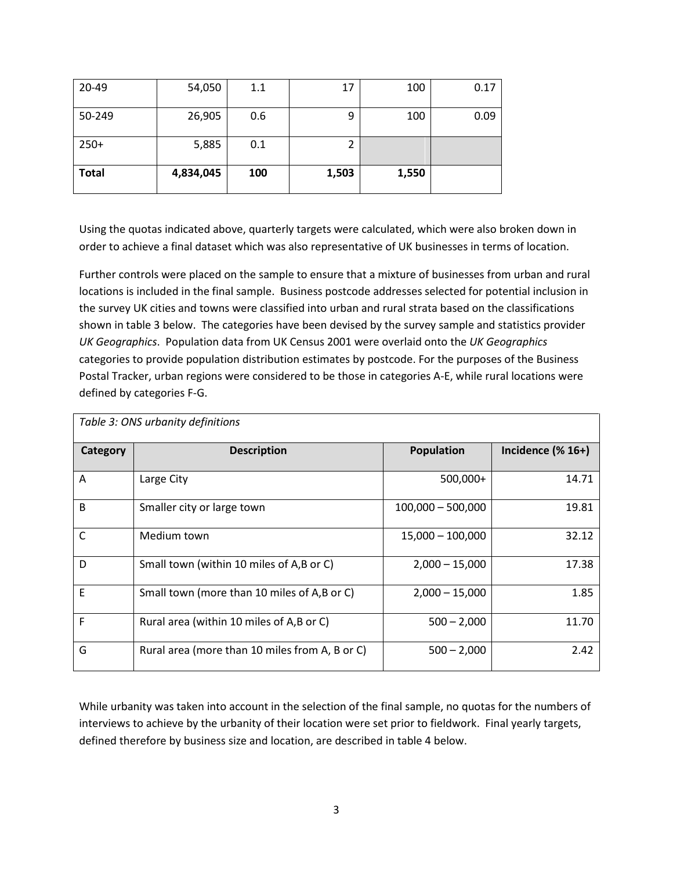| <b>Total</b> | 4,834,045 | 100 | 1,503 | 1,550 |      |
|--------------|-----------|-----|-------|-------|------|
| $250+$       | 5,885     | 0.1 |       |       |      |
| 50-249       | 26,905    | 0.6 | 9     | 100   | 0.09 |
| 20-49        | 54,050    | 1.1 | 17    | 100   | 0.17 |

Using the quotas indicated above, quarterly targets were calculated, which were also broken down in order to achieve a final dataset which was also representative of UK businesses in terms of location.

Further controls were placed on the sample to ensure that a mixture of businesses from urban and rural locations is included in the final sample. Business postcode addresses selected for potential inclusion in the survey UK cities and towns were classified into urban and rural strata based on the classifications shown in table 3 below. The categories have been devised by the survey sample and statistics provider *UK Geographics*. Population data from UK Census 2001 were overlaid onto the *UK Geographics* categories to provide population distribution estimates by postcode. For the purposes of the Business Postal Tracker, urban regions were considered to be those in categories A-E, while rural locations were defined by categories F-G.

|          | Table 3: ONS urbanity definitions              |                     |                                      |
|----------|------------------------------------------------|---------------------|--------------------------------------|
| Category | <b>Description</b>                             | <b>Population</b>   | Incidence $(% \mathbb{R}^2)$ (% 16+) |
| A        | Large City                                     | 500,000+            | 14.71                                |
| B        | Smaller city or large town                     | $100,000 - 500,000$ | 19.81                                |
| C        | Medium town                                    | $15,000 - 100,000$  | 32.12                                |
| D        | Small town (within 10 miles of A,B or C)       | $2.000 - 15.000$    | 17.38                                |
| E        | Small town (more than 10 miles of A,B or C)    | $2,000 - 15,000$    | 1.85                                 |
| F        | Rural area (within 10 miles of A,B or C)       | $500 - 2,000$       | 11.70                                |
| G        | Rural area (more than 10 miles from A, B or C) | $500 - 2,000$       | 2.42                                 |

While urbanity was taken into account in the selection of the final sample, no quotas for the numbers of interviews to achieve by the urbanity of their location were set prior to fieldwork. Final yearly targets, defined therefore by business size and location, are described in table 4 below.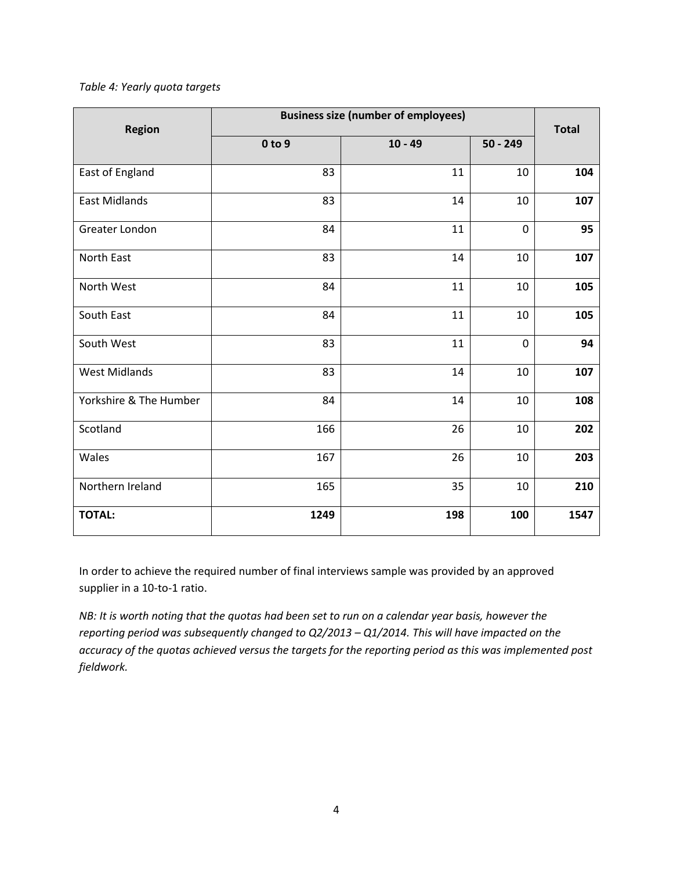#### *Table 4: Yearly quota targets*

| <b>Region</b>          | <b>Business size (number of employees)</b> | <b>Total</b> |             |      |
|------------------------|--------------------------------------------|--------------|-------------|------|
|                        | 0 to 9                                     | $10 - 49$    | $50 - 249$  |      |
| East of England        | 83                                         | 11           | 10          | 104  |
| <b>East Midlands</b>   | 83                                         | 14           | 10          | 107  |
| Greater London         | 84                                         | 11           | $\mathbf 0$ | 95   |
| North East             | 83                                         | 14           | 10          | 107  |
| North West             | 84                                         | 11           | 10          | 105  |
| South East             | 84                                         | 11           | 10          | 105  |
| South West             | 83                                         | 11           | $\mathbf 0$ | 94   |
| <b>West Midlands</b>   | 83                                         | 14           | 10          | 107  |
| Yorkshire & The Humber | 84                                         | 14           | 10          | 108  |
| Scotland               | 166                                        | 26           | 10          | 202  |
| Wales                  | 167                                        | 26           | 10          | 203  |
| Northern Ireland       | 165                                        | 35           | 10          | 210  |
| <b>TOTAL:</b>          | 1249                                       | 198          | 100         | 1547 |

In order to achieve the required number of final interviews sample was provided by an approved supplier in a 10-to-1 ratio.

*NB: It is worth noting that the quotas had been set to run on a calendar year basis, however the reporting period was subsequently changed to Q2/2013 – Q1/2014. This will have impacted on the accuracy of the quotas achieved versus the targets for the reporting period as this was implemented post fieldwork.*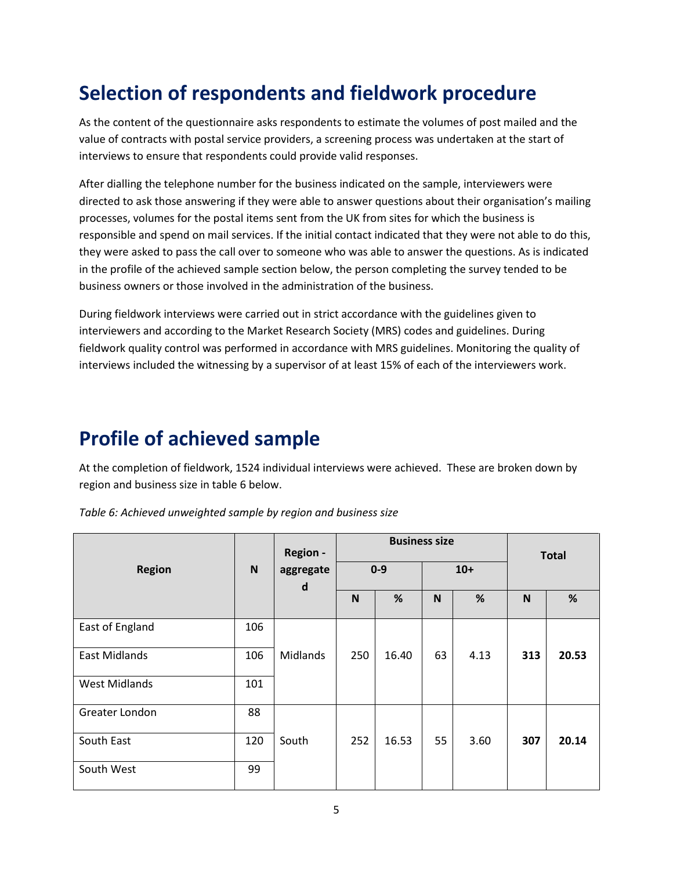# **Selection of respondents and fieldwork procedure**

As the content of the questionnaire asks respondents to estimate the volumes of post mailed and the value of contracts with postal service providers, a screening process was undertaken at the start of interviews to ensure that respondents could provide valid responses.

After dialling the telephone number for the business indicated on the sample, interviewers were directed to ask those answering if they were able to answer questions about their organisation's mailing processes, volumes for the postal items sent from the UK from sites for which the business is responsible and spend on mail services. If the initial contact indicated that they were not able to do this, they were asked to pass the call over to someone who was able to answer the questions. As is indicated in the profile of the achieved sample section below, the person completing the survey tended to be business owners or those involved in the administration of the business.

During fieldwork interviews were carried out in strict accordance with the guidelines given to interviewers and according to the Market Research Society (MRS) codes and guidelines. During fieldwork quality control was performed in accordance with MRS guidelines. Monitoring the quality of interviews included the witnessing by a supervisor of at least 15% of each of the interviewers work.

### **Profile of achieved sample**

At the completion of fieldwork, 1524 individual interviews were achieved. These are broken down by region and business size in table 6 below.

*Table 6: Achieved unweighted sample by region and business size*

|                      |             | <b>Region -</b>           | <b>Business size</b> |       |       |      | <b>Total</b> |       |
|----------------------|-------------|---------------------------|----------------------|-------|-------|------|--------------|-------|
| <b>Region</b>        | $\mathbf N$ | aggregate<br>$\mathsf{d}$ | $0 - 9$              |       | $10+$ |      |              |       |
|                      |             |                           | N                    | %     | N     | %    | N            | %     |
| East of England      | 106         |                           |                      |       |       |      |              |       |
| <b>East Midlands</b> | 106         | Midlands                  | 250                  | 16.40 | 63    | 4.13 | 313          | 20.53 |
| <b>West Midlands</b> | 101         |                           |                      |       |       |      |              |       |
| Greater London       | 88          |                           |                      |       |       |      |              |       |
| South East           | 120         | South                     | 252                  | 16.53 | 55    | 3.60 | 307          | 20.14 |
| South West           | 99          |                           |                      |       |       |      |              |       |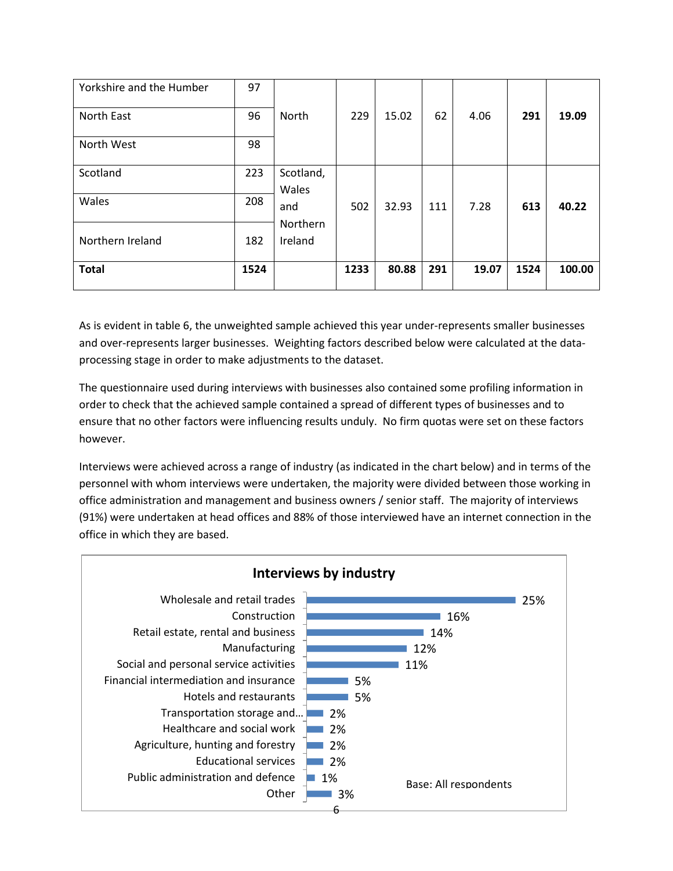| Yorkshire and the Humber | 97   |                     |      |       |     |       |      |        |
|--------------------------|------|---------------------|------|-------|-----|-------|------|--------|
| North East               | 96   | North               | 229  | 15.02 | 62  | 4.06  | 291  | 19.09  |
| North West               | 98   |                     |      |       |     |       |      |        |
| Scotland                 | 223  | Scotland,<br>Wales  |      |       |     |       |      |        |
| Wales                    | 208  | and                 | 502  | 32.93 | 111 | 7.28  | 613  | 40.22  |
| Northern Ireland         | 182  | Northern<br>Ireland |      |       |     |       |      |        |
| <b>Total</b>             | 1524 |                     | 1233 | 80.88 | 291 | 19.07 | 1524 | 100.00 |

As is evident in table 6, the unweighted sample achieved this year under-represents smaller businesses and over-represents larger businesses. Weighting factors described below were calculated at the dataprocessing stage in order to make adjustments to the dataset.

The questionnaire used during interviews with businesses also contained some profiling information in order to check that the achieved sample contained a spread of different types of businesses and to ensure that no other factors were influencing results unduly. No firm quotas were set on these factors however.

Interviews were achieved across a range of industry (as indicated in the chart below) and in terms of the personnel with whom interviews were undertaken, the majority were divided between those working in office administration and management and business owners / senior staff. The majority of interviews (91%) were undertaken at head offices and 88% of those interviewed have an internet connection in the office in which they are based.

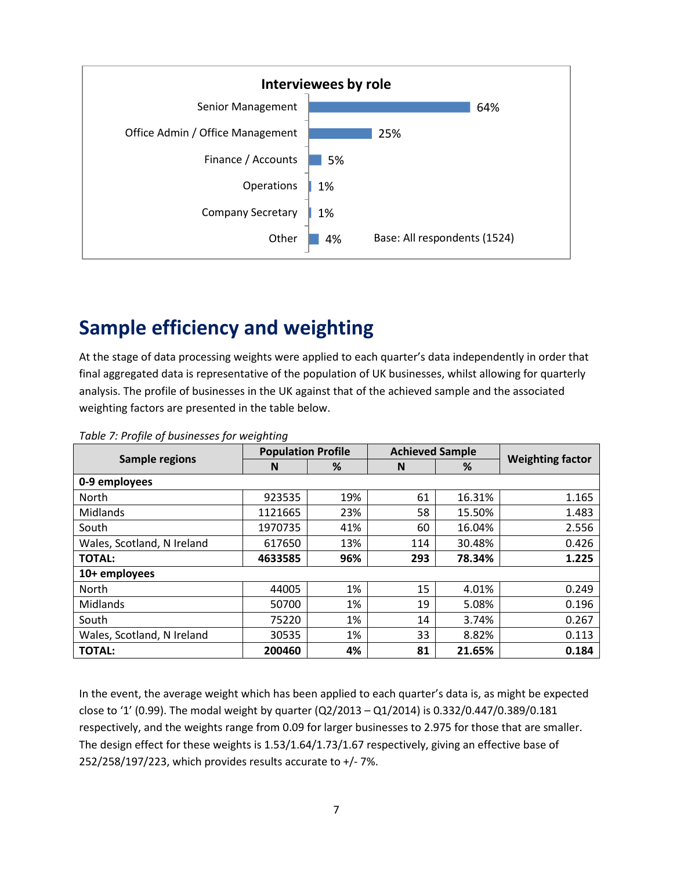

### **Sample efficiency and weighting**

At the stage of data processing weights were applied to each quarter's data independently in order that final aggregated data is representative of the population of UK businesses, whilst allowing for quarterly analysis. The profile of businesses in the UK against that of the achieved sample and the associated weighting factors are presented in the table below.

|                            | <b>Population Profile</b> |     | <b>Achieved Sample</b> |        |                         |  |
|----------------------------|---------------------------|-----|------------------------|--------|-------------------------|--|
| <b>Sample regions</b>      | N                         | %   | N                      | %      | <b>Weighting factor</b> |  |
| 0-9 employees              |                           |     |                        |        |                         |  |
| North                      | 923535                    | 19% | 61                     | 16.31% | 1.165                   |  |
| <b>Midlands</b>            | 1121665                   | 23% | 58                     | 15.50% | 1.483                   |  |
| South                      | 1970735                   | 41% | 60                     | 16.04% | 2.556                   |  |
| Wales, Scotland, N Ireland | 617650                    | 13% | 114                    | 30.48% | 0.426                   |  |
| <b>TOTAL:</b>              | 4633585                   | 96% | 293                    | 78.34% | 1.225                   |  |
| 10+ employees              |                           |     |                        |        |                         |  |
| <b>North</b>               | 44005                     | 1%  | 15                     | 4.01%  | 0.249                   |  |
| <b>Midlands</b>            | 50700                     | 1%  | 19                     | 5.08%  | 0.196                   |  |
| South                      | 75220                     | 1%  | 14                     | 3.74%  | 0.267                   |  |
| Wales, Scotland, N Ireland | 30535                     | 1%  | 33                     | 8.82%  | 0.113                   |  |
| <b>TOTAL:</b>              | 200460                    | 4%  | 81                     | 21.65% | 0.184                   |  |

*Table 7: Profile of businesses for weighting*

In the event, the average weight which has been applied to each quarter's data is, as might be expected close to '1' (0.99). The modal weight by quarter (Q2/2013 – Q1/2014) is 0.332/0.447/0.389/0.181 respectively, and the weights range from 0.09 for larger businesses to 2.975 for those that are smaller. The design effect for these weights is 1.53/1.64/1.73/1.67 respectively, giving an effective base of 252/258/197/223, which provides results accurate to  $+/-7$ %.